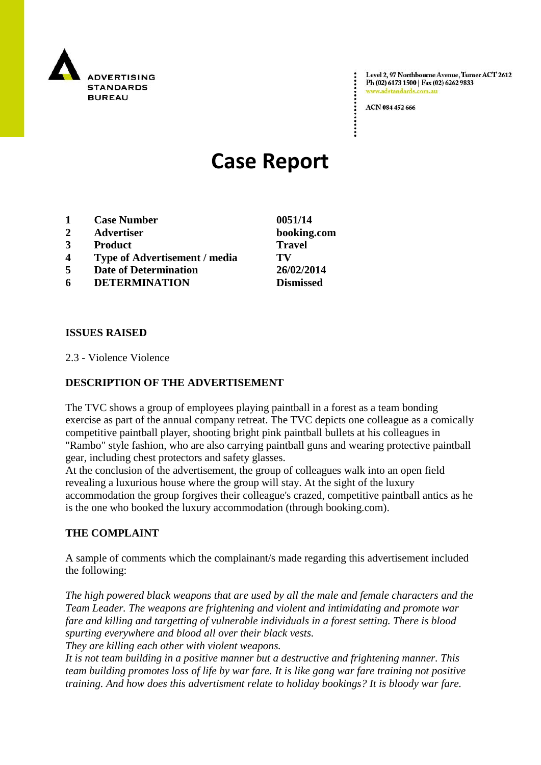

Level 2, 97 Northbourne Avenue, Turner ACT 2612 Ph (02) 6173 1500 | Fax (02) 6262 9833 v.adstandards.c

ACN 084 452 666

# **Case Report**

- **1 Case Number 0051/14**
- **2 Advertiser booking.com**
- **3 Product Travel**
- **4 Type of Advertisement / media TV**
- **5 Date of Determination 26/02/2014**
- **6 DETERMINATION Dismissed**

### **ISSUES RAISED**

2.3 - Violence Violence

## **DESCRIPTION OF THE ADVERTISEMENT**

The TVC shows a group of employees playing paintball in a forest as a team bonding exercise as part of the annual company retreat. The TVC depicts one colleague as a comically competitive paintball player, shooting bright pink paintball bullets at his colleagues in "Rambo" style fashion, who are also carrying paintball guns and wearing protective paintball gear, including chest protectors and safety glasses.

At the conclusion of the advertisement, the group of colleagues walk into an open field revealing a luxurious house where the group will stay. At the sight of the luxury accommodation the group forgives their colleague's crazed, competitive paintball antics as he is the one who booked the luxury accommodation (through booking.com).

#### **THE COMPLAINT**

A sample of comments which the complainant/s made regarding this advertisement included the following:

*The high powered black weapons that are used by all the male and female characters and the Team Leader. The weapons are frightening and violent and intimidating and promote war fare and killing and targetting of vulnerable individuals in a forest setting. There is blood spurting everywhere and blood all over their black vests. They are killing each other with violent weapons.*

*It is not team building in a positive manner but a destructive and frightening manner. This team building promotes loss of life by war fare. It is like gang war fare training not positive training. And how does this advertisment relate to holiday bookings? It is bloody war fare.*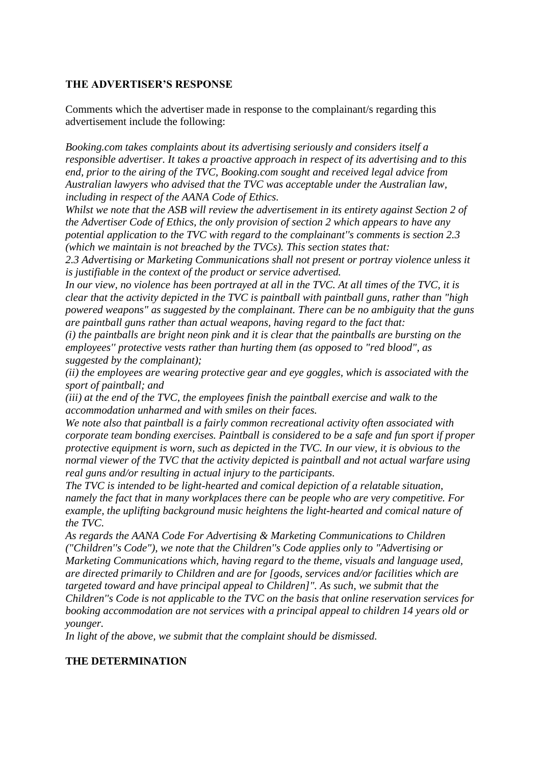#### **THE ADVERTISER'S RESPONSE**

Comments which the advertiser made in response to the complainant/s regarding this advertisement include the following:

*Booking.com takes complaints about its advertising seriously and considers itself a responsible advertiser. It takes a proactive approach in respect of its advertising and to this end, prior to the airing of the TVC, Booking.com sought and received legal advice from Australian lawyers who advised that the TVC was acceptable under the Australian law, including in respect of the AANA Code of Ethics.*

*Whilst we note that the ASB will review the advertisement in its entirety against Section 2 of the Advertiser Code of Ethics, the only provision of section 2 which appears to have any potential application to the TVC with regard to the complainant''s comments is section 2.3 (which we maintain is not breached by the TVCs). This section states that:*

*2.3 Advertising or Marketing Communications shall not present or portray violence unless it is justifiable in the context of the product or service advertised.*

*In our view, no violence has been portrayed at all in the TVC. At all times of the TVC, it is clear that the activity depicted in the TVC is paintball with paintball guns, rather than "high powered weapons" as suggested by the complainant. There can be no ambiguity that the guns are paintball guns rather than actual weapons, having regard to the fact that:*

*(i) the paintballs are bright neon pink and it is clear that the paintballs are bursting on the employees'' protective vests rather than hurting them (as opposed to "red blood", as suggested by the complainant);*

*(ii) the employees are wearing protective gear and eye goggles, which is associated with the sport of paintball; and*

*(iii) at the end of the TVC, the employees finish the paintball exercise and walk to the accommodation unharmed and with smiles on their faces.*

*We note also that paintball is a fairly common recreational activity often associated with corporate team bonding exercises. Paintball is considered to be a safe and fun sport if proper protective equipment is worn, such as depicted in the TVC. In our view, it is obvious to the normal viewer of the TVC that the activity depicted is paintball and not actual warfare using real guns and/or resulting in actual injury to the participants.*

*The TVC is intended to be light-hearted and comical depiction of a relatable situation, namely the fact that in many workplaces there can be people who are very competitive. For example, the uplifting background music heightens the light-hearted and comical nature of the TVC.*

*As regards the AANA Code For Advertising & Marketing Communications to Children ("Children''s Code"), we note that the Children''s Code applies only to "Advertising or Marketing Communications which, having regard to the theme, visuals and language used, are directed primarily to Children and are for [goods, services and/or facilities which are targeted toward and have principal appeal to Children]". As such, we submit that the Children''s Code is not applicable to the TVC on the basis that online reservation services for booking accommodation are not services with a principal appeal to children 14 years old or younger.*

*In light of the above, we submit that the complaint should be dismissed.*

## **THE DETERMINATION**